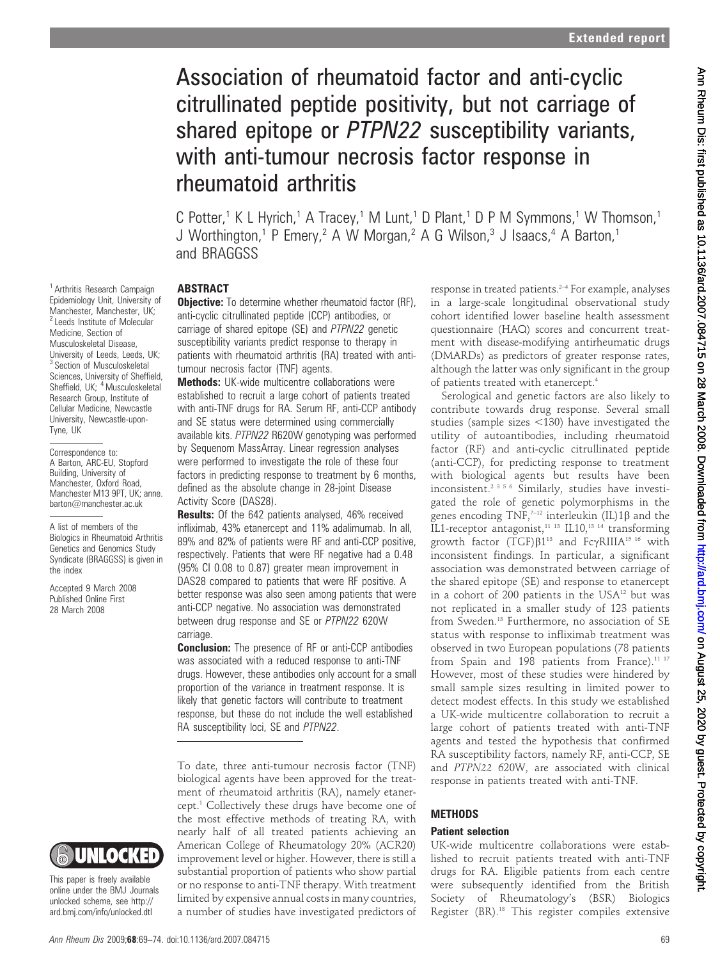# Association of rheumatoid factor and anti-cyclic citrullinated peptide positivity, but not carriage of shared epitope or PTPN22 susceptibility variants, with anti-tumour necrosis factor response in rheumatoid arthritis

C Potter,<sup>1</sup> K L Hyrich,<sup>1</sup> A Tracey,<sup>1</sup> M Lunt,<sup>1</sup> D Plant,<sup>1</sup> D P M Symmons,<sup>1</sup> W Thomson,<sup>1</sup> J Worthington,<sup>1</sup> P Emery,<sup>2</sup> A W Morgan,<sup>2</sup> A G Wilson,<sup>3</sup> J Isaacs,<sup>4</sup> A Barton,<sup>1</sup> and BRAGGSS

#### **ABSTRACT**

**Objective:** To determine whether rheumatoid factor (RF), anti-cyclic citrullinated peptide (CCP) antibodies, or carriage of shared epitope (SE) and PTPN22 genetic susceptibility variants predict response to therapy in patients with rheumatoid arthritis (RA) treated with antitumour necrosis factor (TNF) agents.

Methods: UK-wide multicentre collaborations were established to recruit a large cohort of patients treated with anti-TNF drugs for RA. Serum RF, anti-CCP antibody and SE status were determined using commercially available kits. PTPN22 R620W genotyping was performed by Sequenom MassArray. Linear regression analyses were performed to investigate the role of these four

factors in predicting response to treatment by 6 months, defined as the absolute change in 28-joint Disease Activity Score (DAS28).

**Results:** Of the 642 patients analysed, 46% received infliximab, 43% etanercept and 11% adalimumab. In all, 89% and 82% of patients were RF and anti-CCP positive, respectively. Patients that were RF negative had a 0.48 (95% CI 0.08 to 0.87) greater mean improvement in DAS28 compared to patients that were RF positive. A better response was also seen among patients that were anti-CCP negative. No association was demonstrated between drug response and SE or PTPN22 620W carriage.

**Conclusion:** The presence of RF or anti-CCP antibodies was associated with a reduced response to anti-TNF drugs. However, these antibodies only account for a small proportion of the variance in treatment response. It is likely that genetic factors will contribute to treatment response, but these do not include the well established RA susceptibility loci, SE and PTPN22.

To date, three anti-tumour necrosis factor (TNF) biological agents have been approved for the treatment of rheumatoid arthritis (RA), namely etanercept.1 Collectively these drugs have become one of the most effective methods of treating RA, with nearly half of all treated patients achieving an American College of Rheumatology 20% (ACR20) improvement level or higher. However, there is still a substantial proportion of patients who show partial or no response to anti-TNF therapy. With treatment limited by expensive annual costs in many countries, a number of studies have investigated predictors of response in treated patients.<sup>2-4</sup> For example, analyses in a large-scale longitudinal observational study cohort identified lower baseline health assessment questionnaire (HAQ) scores and concurrent treatment with disease-modifying antirheumatic drugs (DMARDs) as predictors of greater response rates, although the latter was only significant in the group of patients treated with etanercept.4

Serological and genetic factors are also likely to contribute towards drug response. Several small studies (sample sizes  $\leq$ 130) have investigated the utility of autoantibodies, including rheumatoid factor (RF) and anti-cyclic citrullinated peptide (anti-CCP), for predicting response to treatment with biological agents but results have been inconsistent.2356 Similarly, studies have investigated the role of genetic polymorphisms in the genes encoding  $TNF<sub>1</sub><sup>7–12</sup>$  interleukin (IL)1 $\beta$  and the IL1-receptor antagonist,<sup>11 13</sup> IL10,<sup>13 14</sup> transforming growth factor  $(TGF)\beta1^{13}$  and Fc $\gamma$ RIIIA<sup>15 16</sup> with inconsistent findings. In particular, a significant association was demonstrated between carriage of the shared epitope (SE) and response to etanercept in a cohort of  $200$  patients in the USA $^{12}$  but was not replicated in a smaller study of 123 patients from Sweden.<sup>13</sup> Furthermore, no association of SE status with response to infliximab treatment was observed in two European populations (78 patients from Spain and 198 patients from France).<sup>11 17</sup> However, most of these studies were hindered by small sample sizes resulting in limited power to detect modest effects. In this study we established a UK-wide multicentre collaboration to recruit a large cohort of patients treated with anti-TNF agents and tested the hypothesis that confirmed RA susceptibility factors, namely RF, anti-CCP, SE and PTPN22 620W, are associated with clinical response in patients treated with anti-TNF.

#### **METHODS**

#### Patient selection

UK-wide multicentre collaborations were established to recruit patients treated with anti-TNF drugs for RA. Eligible patients from each centre were subsequently identified from the British Society of Rheumatology's (BSR) Biologics Register (BR).18 This register compiles extensive

<sup>1</sup> Arthritis Research Campaign Epidemiology Unit, University of Manchester, Manchester, UK; <sup>2</sup> Leeds Institute of Molecular Medicine, Section of Musculoskeletal Disease, University of Leeds, Leeds, UK; <sup>3</sup> Section of Musculoskeletal Sciences, University of Sheffield, Sheffield, UK; <sup>4</sup> Musculoskeletal Research Group, Institute of Cellular Medicine, Newcastle University, Newcastle-upon-Tyne, UK

Correspondence to: A Barton, ARC-EU, Stopford Building, University of Manchester, Oxford Road, Manchester M13 9PT, UK; anne. barton@manchester.ac.uk

A list of members of the Biologics in Rheumatoid Arthritis Genetics and Genomics Study Syndicate (BRAGGSS) is given in the index

Accepted 9 March 2008 Published Online First 28 March 2008



This paper is freely available online under the BMJ Journals unlocked scheme, see http:// ard.bmj.com/info/unlocked.dtl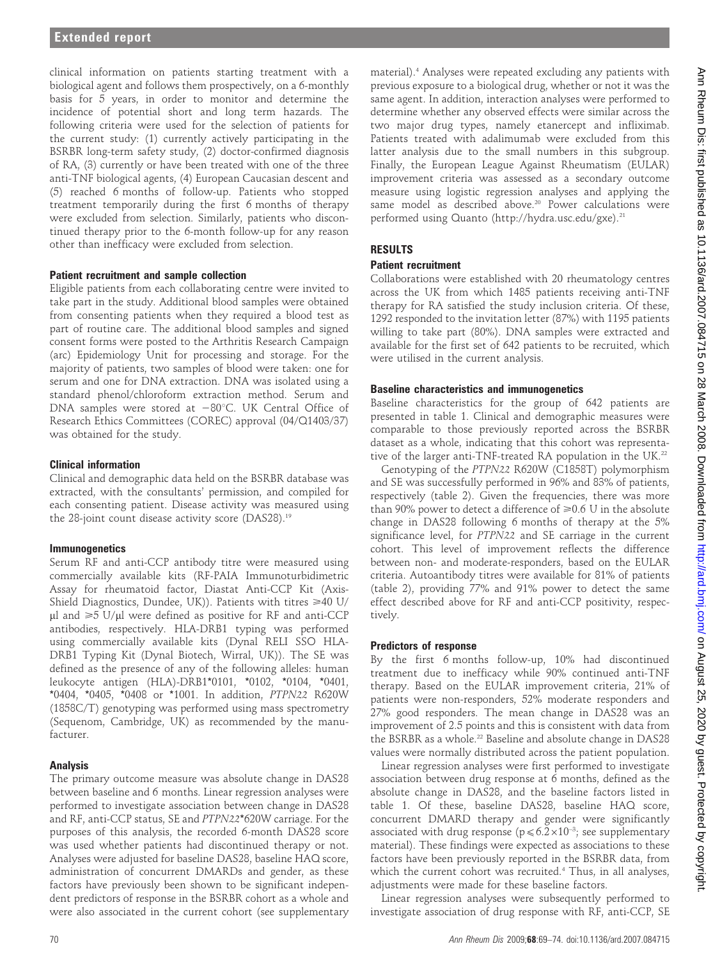clinical information on patients starting treatment with a biological agent and follows them prospectively, on a 6-monthly basis for 5 years, in order to monitor and determine the incidence of potential short and long term hazards. The following criteria were used for the selection of patients for the current study: (1) currently actively participating in the BSRBR long-term safety study, (2) doctor-confirmed diagnosis of RA, (3) currently or have been treated with one of the three anti-TNF biological agents, (4) European Caucasian descent and (5) reached 6 months of follow-up. Patients who stopped treatment temporarily during the first 6 months of therapy were excluded from selection. Similarly, patients who discontinued therapy prior to the 6-month follow-up for any reason other than inefficacy were excluded from selection.

#### Patient recruitment and sample collection

Eligible patients from each collaborating centre were invited to take part in the study. Additional blood samples were obtained from consenting patients when they required a blood test as part of routine care. The additional blood samples and signed consent forms were posted to the Arthritis Research Campaign (arc) Epidemiology Unit for processing and storage. For the majority of patients, two samples of blood were taken: one for serum and one for DNA extraction. DNA was isolated using a standard phenol/chloroform extraction method. Serum and DNA samples were stored at  $-80^{\circ}$ C. UK Central Office of Research Ethics Committees (COREC) approval (04/Q1403/37) was obtained for the study.

### Clinical information

Clinical and demographic data held on the BSRBR database was extracted, with the consultants' permission, and compiled for each consenting patient. Disease activity was measured using the 28-joint count disease activity score (DAS28).19

### Immunogenetics

Serum RF and anti-CCP antibody titre were measured using commercially available kits (RF-PAIA Immunoturbidimetric Assay for rheumatoid factor, Diastat Anti-CCP Kit (Axis-Shield Diagnostics, Dundee, UK)). Patients with titres  $\geq 40$  U/  $\mu$ l and  $\geq 5$  U/ $\mu$ l were defined as positive for RF and anti-CCP antibodies, respectively. HLA-DRB1 typing was performed using commercially available kits (Dynal RELI SSO HLA-DRB1 Typing Kit (Dynal Biotech, Wirral, UK)). The SE was defined as the presence of any of the following alleles: human leukocyte antigen (HLA)-DRB1\*0101, \*0102, \*0104, \*0401, \*0404, \*0405, \*0408 or \*1001. In addition, PTPN22 R620W (1858C/T) genotyping was performed using mass spectrometry (Sequenom, Cambridge, UK) as recommended by the manufacturer.

## Analysis

The primary outcome measure was absolute change in DAS28 between baseline and 6 months. Linear regression analyses were performed to investigate association between change in DAS28 and RF, anti-CCP status, SE and PTPN22\*620W carriage. For the purposes of this analysis, the recorded 6-month DAS28 score was used whether patients had discontinued therapy or not. Analyses were adjusted for baseline DAS28, baseline HAQ score, administration of concurrent DMARDs and gender, as these factors have previously been shown to be significant independent predictors of response in the BSRBR cohort as a whole and were also associated in the current cohort (see supplementary

material).4 Analyses were repeated excluding any patients with previous exposure to a biological drug, whether or not it was the same agent. In addition, interaction analyses were performed to determine whether any observed effects were similar across the two major drug types, namely etanercept and infliximab. Patients treated with adalimumab were excluded from this latter analysis due to the small numbers in this subgroup. Finally, the European League Against Rheumatism (EULAR) improvement criteria was assessed as a secondary outcome measure using logistic regression analyses and applying the same model as described above.<sup>20</sup> Power calculations were performed using Quanto (http://hydra.usc.edu/gxe).<sup>21</sup>

## RESULTS

## Patient recruitment

Collaborations were established with 20 rheumatology centres across the UK from which 1485 patients receiving anti-TNF therapy for RA satisfied the study inclusion criteria. Of these, 1292 responded to the invitation letter (87%) with 1195 patients willing to take part (80%). DNA samples were extracted and available for the first set of 642 patients to be recruited, which were utilised in the current analysis.

## Baseline characteristics and immunogenetics

Baseline characteristics for the group of 642 patients are presented in table 1. Clinical and demographic measures were comparable to those previously reported across the BSRBR dataset as a whole, indicating that this cohort was representative of the larger anti-TNF-treated RA population in the UK.<sup>22</sup>

Genotyping of the PTPN22 R620W (C1858T) polymorphism and SE was successfully performed in 96% and 83% of patients, respectively (table 2). Given the frequencies, there was more than 90% power to detect a difference of  $\geq 0.6$  U in the absolute change in DAS28 following 6 months of therapy at the 5% significance level, for PTPN22 and SE carriage in the current cohort. This level of improvement reflects the difference between non- and moderate-responders, based on the EULAR criteria. Autoantibody titres were available for 81% of patients (table 2), providing 77% and 91% power to detect the same effect described above for RF and anti-CCP positivity, respectively.

## Predictors of response

By the first 6 months follow-up, 10% had discontinued treatment due to inefficacy while 90% continued anti-TNF therapy. Based on the EULAR improvement criteria, 21% of patients were non-responders, 52% moderate responders and 27% good responders. The mean change in DAS28 was an improvement of 2.5 points and this is consistent with data from the BSRBR as a whole.<sup>22</sup> Baseline and absolute change in DAS28 values were normally distributed across the patient population.

Linear regression analyses were first performed to investigate association between drug response at 6 months, defined as the absolute change in DAS28, and the baseline factors listed in table 1. Of these, baseline DAS28, baseline HAQ score, concurrent DMARD therapy and gender were significantly associated with drug response ( $p \le 6.2 \times 10^{-3}$ ; see supplementary material). These findings were expected as associations to these factors have been previously reported in the BSRBR data, from which the current cohort was recruited.<sup>4</sup> Thus, in all analyses, adjustments were made for these baseline factors.

Linear regression analyses were subsequently performed to investigate association of drug response with RF, anti-CCP, SE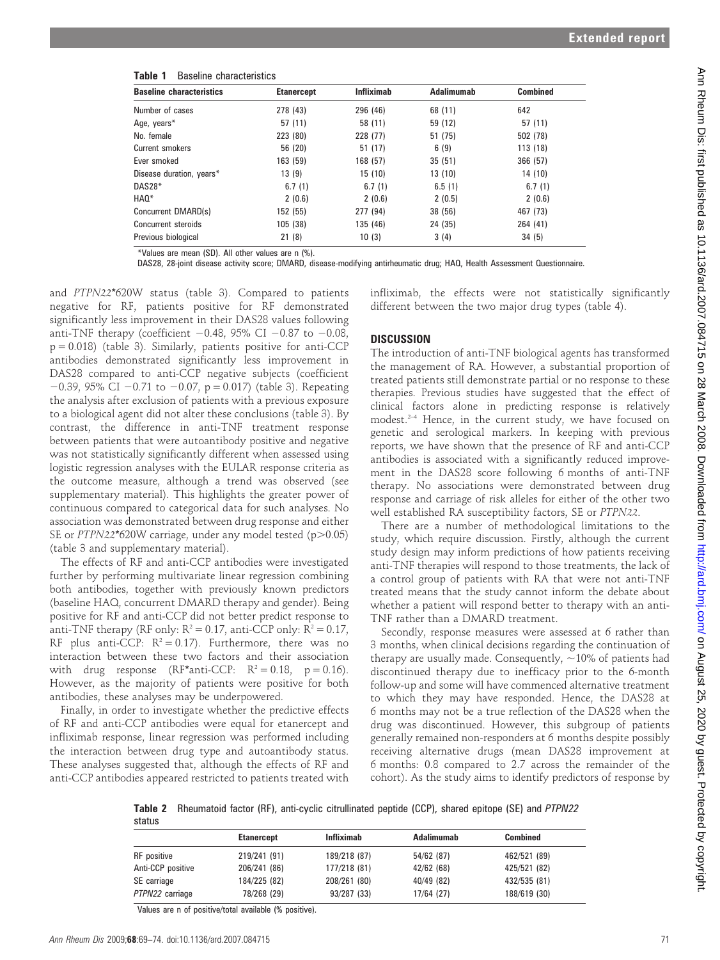| <b>Baseline characteristics</b> | <b>Etanercept</b> | <b>Infliximab</b> | <b>Adalimumab</b> | <b>Combined</b> |
|---------------------------------|-------------------|-------------------|-------------------|-----------------|
| Number of cases                 | 278 (43)          | 296 (46)          | 68 (11)           | 642             |
| Age, years*                     | 57 (11)           | 58 (11)           | 59 (12)           | 57 (11)         |
| No. female                      | 223 (80)          | 228 (77)          | 51 (75)           | 502 (78)        |
| Current smokers                 | 56 (20)           | 51 (17)           | 6(9)              | 113 (18)        |
| Ever smoked                     | 163 (59)          | 168 (57)          | 35(51)            | 366 (57)        |
| Disease duration, years*        | 13(9)             | 15(10)            | 13(10)            | 14(10)          |
| DAS28*                          | 6.7(1)            | 6.7(1)            | 6.5(1)            | 6.7(1)          |
| HAQ*                            | 2(0.6)            | 2(0.6)            | 2(0.5)            | 2(0.6)          |
| Concurrent DMARD(s)             | 152 (55)          | 277 (94)          | 38 (56)           | 467 (73)        |
| Concurrent steroids             | 105 (38)          | 135 (46)          | 24 (35)           | 264 (41)        |
| Previous biological             | 21(8)             | 10(3)             | 3(4)              | 34(5)           |

'alues are mean (SD). All other values are n (%).

DAS28, 28-joint disease activity score; DMARD, disease-modifying antirheumatic drug; HAQ, Health Assessment Questionnaire.

and PTPN22\*620W status (table 3). Compared to patients negative for RF, patients positive for RF demonstrated significantly less improvement in their DAS28 values following anti-TNF therapy (coefficient  $-0.48$ , 95% CI  $-0.87$  to  $-0.08$ , p = 0.018) (table 3). Similarly, patients positive for anti-CCP antibodies demonstrated significantly less improvement in DAS28 compared to anti-CCP negative subjects (coefficient  $-0.39$ , 95% CI  $-0.71$  to  $-0.07$ , p = 0.017) (table 3). Repeating the analysis after exclusion of patients with a previous exposure to a biological agent did not alter these conclusions (table 3). By contrast, the difference in anti-TNF treatment response between patients that were autoantibody positive and negative was not statistically significantly different when assessed using logistic regression analyses with the EULAR response criteria as the outcome measure, although a trend was observed (see supplementary material). This highlights the greater power of continuous compared to categorical data for such analyses. No association was demonstrated between drug response and either SE or  $PTPN22*620W$  carriage, under any model tested (p $>0.05$ ) (table 3 and supplementary material).

The effects of RF and anti-CCP antibodies were investigated further by performing multivariate linear regression combining both antibodies, together with previously known predictors (baseline HAQ, concurrent DMARD therapy and gender). Being positive for RF and anti-CCP did not better predict response to anti-TNF therapy (RF only:  $R^2 = 0.17$ , anti-CCP only:  $R^2 = 0.17$ , RF plus anti-CCP:  $R^2 = 0.17$ ). Furthermore, there was no interaction between these two factors and their association with drug response (RF\*anti-CCP:  $R^2 = 0.18$ ,  $p = 0.16$ ). However, as the majority of patients were positive for both antibodies, these analyses may be underpowered.

Finally, in order to investigate whether the predictive effects of RF and anti-CCP antibodies were equal for etanercept and infliximab response, linear regression was performed including the interaction between drug type and autoantibody status. These analyses suggested that, although the effects of RF and anti-CCP antibodies appeared restricted to patients treated with

infliximab, the effects were not statistically significantly different between the two major drug types (table 4).

#### **DISCUSSION**

The introduction of anti-TNF biological agents has transformed the management of RA. However, a substantial proportion of treated patients still demonstrate partial or no response to these therapies. Previous studies have suggested that the effect of clinical factors alone in predicting response is relatively modest.2–4 Hence, in the current study, we have focused on genetic and serological markers. In keeping with previous reports, we have shown that the presence of RF and anti-CCP antibodies is associated with a significantly reduced improvement in the DAS28 score following 6 months of anti-TNF therapy. No associations were demonstrated between drug response and carriage of risk alleles for either of the other two well established RA susceptibility factors, SE or PTPN22.

There are a number of methodological limitations to the study, which require discussion. Firstly, although the current study design may inform predictions of how patients receiving anti-TNF therapies will respond to those treatments, the lack of a control group of patients with RA that were not anti-TNF treated means that the study cannot inform the debate about whether a patient will respond better to therapy with an anti-TNF rather than a DMARD treatment.

Secondly, response measures were assessed at 6 rather than 3 months, when clinical decisions regarding the continuation of therapy are usually made. Consequently,  $\sim$ 10% of patients had discontinued therapy due to inefficacy prior to the 6-month follow-up and some will have commenced alternative treatment to which they may have responded. Hence, the DAS28 at 6 months may not be a true reflection of the DAS28 when the drug was discontinued. However, this subgroup of patients generally remained non-responders at 6 months despite possibly receiving alternative drugs (mean DAS28 improvement at 6 months: 0.8 compared to 2.7 across the remainder of the cohort). As the study aims to identify predictors of response by

Table 2 Rheumatoid factor (RF), anti-cyclic citrullinated peptide (CCP), shared epitope (SE) and PTPN22 status

|                   | <b>Etanercept</b> | Infliximab   | Adalimumab | <b>Combined</b> |  |
|-------------------|-------------------|--------------|------------|-----------------|--|
| RF positive       | 219/241 (91)      | 189/218 (87) | 54/62 (87) | 462/521 (89)    |  |
| Anti-CCP positive | 206/241 (86)      | 177/218 (81) | 42/62(68)  | 425/521 (82)    |  |
| SE carriage       | 184/225 (82)      | 208/261 (80) | 40/49 (82) | 432/535 (81)    |  |
| PTPN22 carriage   | 78/268 (29)       | 93/287 (33)  | 17/64 (27) | 188/619 (30)    |  |
|                   |                   |              |            |                 |  |

Values are n of positive/total available (% positive).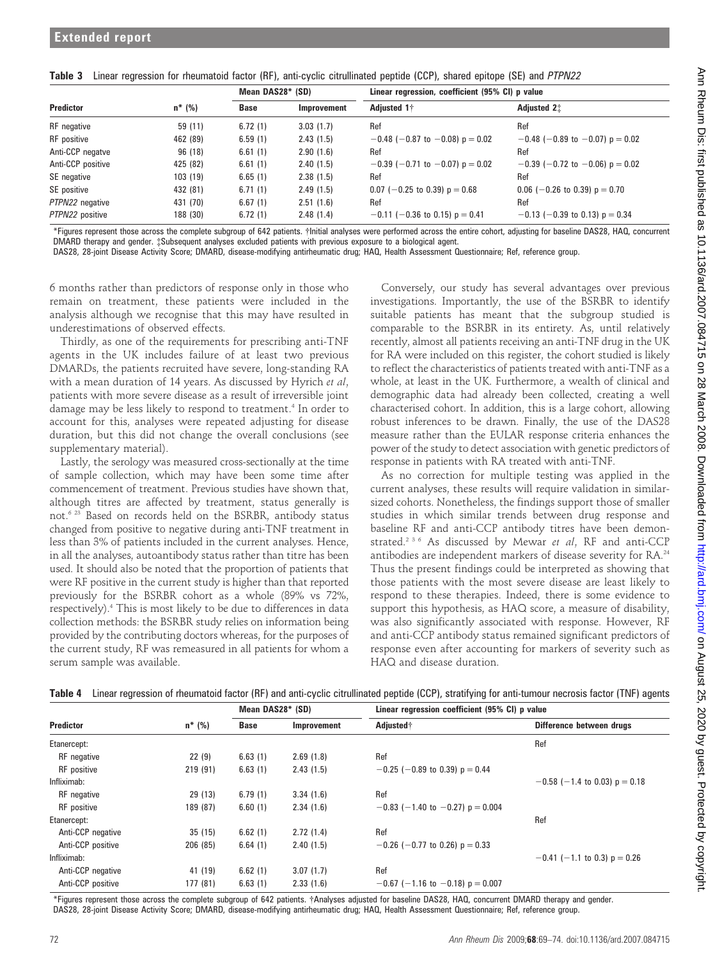|  |  |  |  |  | Table 3 Linear regression for rheumatoid factor (RF), anti-cyclic citrullinated peptide (CCP), shared epitope (SE) and PTPN22 |  |  |  |
|--|--|--|--|--|-------------------------------------------------------------------------------------------------------------------------------|--|--|--|
|--|--|--|--|--|-------------------------------------------------------------------------------------------------------------------------------|--|--|--|

|                   |           | Mean DAS28* (SD) |             | Linear regression, coefficient (95% CI) p value |                                   |  |
|-------------------|-----------|------------------|-------------|-------------------------------------------------|-----------------------------------|--|
| <b>Predictor</b>  | $n^*$ (%) | <b>Base</b>      | Improvement | Adjusted 1 <sup>+</sup>                         | <b>Adjusted 2:</b>                |  |
| RF negative       | 59 (11)   | 6.72(1)          | 3.03(1.7)   | Ref                                             | Ref                               |  |
| RF positive       | 462 (89)  | 6.59(1)          | 2.43(1.5)   | $-0.48$ (-0.87 to -0.08) p = 0.02               | $-0.48$ (-0.89 to -0.07) p = 0.02 |  |
| Anti-CCP negatve  | 96 (18)   | 6.61(1)          | 2.90(1.6)   | Ref                                             | Ref                               |  |
| Anti-CCP positive | 425 (82)  | 6.61(1)          | 2.40(1.5)   | $-0.39$ (-0.71 to -0.07) p = 0.02               | $-0.39$ (-0.72 to -0.06) p = 0.02 |  |
| SE negative       | 103 (19)  | 6.65(1)          | 2.38(1.5)   | Ref                                             | Ref                               |  |
| SE positive       | 432 (81)  | 6.71(1)          | 2.49(1.5)   | 0.07 ( $-0.25$ to 0.39) p = 0.68                | $0.06$ (-0.26 to 0.39) p = 0.70   |  |
| PTPN22 negative   | 431 (70)  | 6.67(1)          | 2.51(1.6)   | Ref                                             | Ref                               |  |
| PTPN22 positive   | 188 (30)  | 6.72(1)          | 2.48(1.4)   | $-0.11$ (-0.36 to 0.15) p = 0.41                | $-0.13$ (-0.39 to 0.13) p = 0.34  |  |

\*Figures represent those across the complete subgroup of 642 patients. {Initial analyses were performed across the entire cohort, adjusting for baseline DAS28, HAQ, concurrent DMARD therapy and gender. {Subsequent analyses excluded patients with previous exposure to a biological agent.

DAS28, 28-joint Disease Activity Score; DMARD, disease-modifying antirheumatic drug; HAQ, Health Assessment Questionnaire; Ref, reference group.

6 months rather than predictors of response only in those who remain on treatment, these patients were included in the analysis although we recognise that this may have resulted in underestimations of observed effects.

Thirdly, as one of the requirements for prescribing anti-TNF agents in the UK includes failure of at least two previous DMARDs, the patients recruited have severe, long-standing RA with a mean duration of 14 years. As discussed by Hyrich et al, patients with more severe disease as a result of irreversible joint damage may be less likely to respond to treatment.<sup>4</sup> In order to account for this, analyses were repeated adjusting for disease duration, but this did not change the overall conclusions (see supplementary material).

Lastly, the serology was measured cross-sectionally at the time of sample collection, which may have been some time after commencement of treatment. Previous studies have shown that, although titres are affected by treatment, status generally is not.6 23 Based on records held on the BSRBR, antibody status changed from positive to negative during anti-TNF treatment in less than 3% of patients included in the current analyses. Hence, in all the analyses, autoantibody status rather than titre has been used. It should also be noted that the proportion of patients that were RF positive in the current study is higher than that reported previously for the BSRBR cohort as a whole (89% vs 72%, respectively).4 This is most likely to be due to differences in data collection methods: the BSRBR study relies on information being provided by the contributing doctors whereas, for the purposes of the current study, RF was remeasured in all patients for whom a serum sample was available.

Conversely, our study has several advantages over previous investigations. Importantly, the use of the BSRBR to identify suitable patients has meant that the subgroup studied is comparable to the BSRBR in its entirety. As, until relatively recently, almost all patients receiving an anti-TNF drug in the UK for RA were included on this register, the cohort studied is likely to reflect the characteristics of patients treated with anti-TNF as a whole, at least in the UK. Furthermore, a wealth of clinical and demographic data had already been collected, creating a well characterised cohort. In addition, this is a large cohort, allowing robust inferences to be drawn. Finally, the use of the DAS28 measure rather than the EULAR response criteria enhances the power of the study to detect association with genetic predictors of response in patients with RA treated with anti-TNF.

As no correction for multiple testing was applied in the current analyses, these results will require validation in similarsized cohorts. Nonetheless, the findings support those of smaller studies in which similar trends between drug response and baseline RF and anti-CCP antibody titres have been demonstrated.<sup>236</sup> As discussed by Mewar et al, RF and anti-CCP antibodies are independent markers of disease severity for RA.24 Thus the present findings could be interpreted as showing that those patients with the most severe disease are least likely to respond to these therapies. Indeed, there is some evidence to support this hypothesis, as HAQ score, a measure of disability, was also significantly associated with response. However, RF and anti-CCP antibody status remained significant predictors of response even after accounting for markers of severity such as HAQ and disease duration.

|  |  |  |  |  |  |  | Table 4 Linear regression of rheumatoid factor (RF) and anti-cyclic citrullinated peptide (CCP), stratifying for anti-tumour necrosis factor (TNF) agents |  |
|--|--|--|--|--|--|--|-----------------------------------------------------------------------------------------------------------------------------------------------------------|--|
|--|--|--|--|--|--|--|-----------------------------------------------------------------------------------------------------------------------------------------------------------|--|

|                    |           | Mean DAS28* (SD) |             | Linear regression coefficient (95% CI) p value |                                 |  |
|--------------------|-----------|------------------|-------------|------------------------------------------------|---------------------------------|--|
| <b>Predictor</b>   | $n^*$ (%) | <b>Base</b>      | Improvement | Adjusted <sup>+</sup>                          | Difference between drugs        |  |
| Etanercept:        |           |                  |             |                                                | Ref                             |  |
| RF negative        | 22(9)     | 6.63(1)          | 2.69(1.8)   | Ref                                            |                                 |  |
| <b>RF</b> positive | 219(91)   | 6.63(1)          | 2.43(1.5)   | $-0.25$ (-0.89 to 0.39) p = 0.44               |                                 |  |
| Infliximab:        |           |                  |             |                                                | $-0.58$ (-1.4 to 0.03) p = 0.18 |  |
| RF negative        | 29 (13)   | 6.79(1)          | 3.34(1.6)   | Ref                                            |                                 |  |
| <b>RF</b> positive | 189 (87)  | 6.60(1)          | 2.34(1.6)   | $-0.83$ (-1.40 to -0.27) p = 0.004             |                                 |  |
| Etanercept:        |           |                  |             |                                                | Ref                             |  |
| Anti-CCP negative  | 35(15)    | 6.62(1)          | 2.72(1.4)   | Ref                                            |                                 |  |
| Anti-CCP positive  | 206 (85)  | 6.64(1)          | 2.40(1.5)   | $-0.26$ (-0.77 to 0.26) p = 0.33               |                                 |  |
| Infliximab:        |           |                  |             |                                                | $-0.41$ (-1.1 to 0.3) p = 0.26  |  |
| Anti-CCP negative  | 41 (19)   | 6.62(1)          | 3.07(1.7)   | Ref                                            |                                 |  |
| Anti-CCP positive  | 177 (81)  | 6.63(1)          | 2.33(1.6)   | $-0.67$ (-1.16 to -0.18) p = 0.007             |                                 |  |

\*Figures represent those across the complete subgroup of 642 patients. {Analyses adjusted for baseline DAS28, HAQ, concurrent DMARD therapy and gender. DAS28, 28-joint Disease Activity Score; DMARD, disease-modifying antirheumatic drug; HAQ, Health Assessment Questionnaire; Ref, reference group.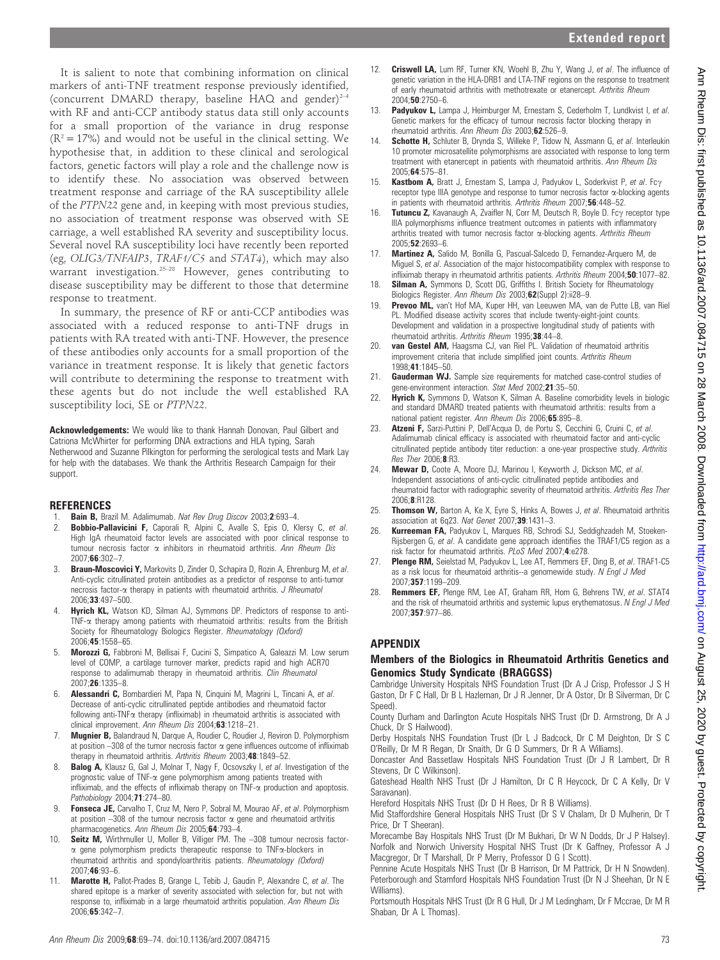It is salient to note that combining information on clinical markers of anti-TNF treatment response previously identified, (concurrent DMARD therapy, baseline HAQ and gender)<sup>2-4</sup> with RF and anti-CCP antibody status data still only accounts for a small proportion of the variance in drug response  $(R^2 = 17\%)$  and would not be useful in the clinical setting. We hypothesise that, in addition to these clinical and serological factors, genetic factors will play a role and the challenge now is to identify these. No association was observed between treatment response and carriage of the RA susceptibility allele of the PTPN22 gene and, in keeping with most previous studies, no association of treatment response was observed with SE carriage, a well established RA severity and susceptibility locus. Several novel RA susceptibility loci have recently been reported (eg, OLIG3/TNFAIP3, TRAF1/C5 and STAT4), which may also warrant investigation.25–28 However, genes contributing to disease susceptibility may be different to those that determine response to treatment.

In summary, the presence of RF or anti-CCP antibodies was associated with a reduced response to anti-TNF drugs in patients with RA treated with anti-TNF. However, the presence of these antibodies only accounts for a small proportion of the variance in treatment response. It is likely that genetic factors will contribute to determining the response to treatment with these agents but do not include the well established RA susceptibility loci, SE or PTPN22.

Acknowledgements: We would like to thank Hannah Donovan, Paul Gilbert and Catriona McWhirter for performing DNA extractions and HLA typing, Sarah Netherwood and Suzanne Pilkington for performing the serological tests and Mark Lay for help with the databases. We thank the Arthritis Research Campaign for their support.

#### **REFERENCES**

- 1. Bain B, Brazil M. Adalimumab. Nat Rev Drug Discov 2003;2:693-4.
- 2. Bobbio-Pallavicini F, Caporali R, Alpini C, Avalle S, Epis O, Klersy C, et al. High IgA rheumatoid factor levels are associated with poor clinical response to tumour necrosis factor  $\alpha$  inhibitors in rheumatoid arthritis. Ann Rheum Dis 2007;66:302–7.
- **Braun-Moscovici Y, Markovits D, Zinder O, Schapira D, Rozin A, Ehrenburg M, et al.** Anti-cyclic citrullinated protein antibodies as a predictor of response to anti-tumor necrosis factor- $\alpha$  therapy in patients with rheumatoid arthritis. J Rheumatol 2006;33:497–500.
- 4. **Hyrich KL,** Watson KD, Silman AJ, Symmons DP. Predictors of response to anti- $TNF-\alpha$  therapy among patients with rheumatoid arthritis: results from the British Society for Rheumatology Biologics Register. Rheumatology (Oxford) 2006;45:1558–65.
- Morozzi G, Fabbroni M, Bellisai F, Cucini S, Simpatico A, Galeazzi M. Low serum level of COMP, a cartilage turnover marker, predicts rapid and high ACR70 response to adalimumab therapy in rheumatoid arthritis. Clin Rheumatol 2007;26:1335–8.
- Alessandri C, Bombardieri M, Papa N, Cinquini M, Magrini L, Tincani A, et al. Decrease of anti-cyclic citrullinated peptide antibodies and rheumatoid factor following anti-TNF $\alpha$  therapy (infliximab) in rheumatoid arthritis is associated with clinical improvement. Ann Rheum Dis 2004;63:1218-21.
- 7. Mugnier B, Balandraud N, Darque A, Roudier C, Roudier J, Reviron D. Polymorphism at position  $-308$  of the tumor necrosis factor  $\alpha$  gene influences outcome of infliximab therapy in rheumatoid arthritis. Arthritis Rheum 2003;48:1849-52.
- 8. Balog A, Klausz G, Gal J, Molnar T, Nagy F, Ocsovszky I, et al. Investigation of the prognostic value of TNF-a gene polymorphism among patients treated with  $\frac{1}{2}$  infliximab, and the effects of infliximab therapy on TNF- $\alpha$  production and apoptosis. Pathobiology 2004;71:274–80.
- 9. **Fonseca JE,** Carvalho T, Cruz M, Nero P, Sobral M, Mourao AF, et al. Polymorphism at position  $-308$  of the tumour necrosis factor  $\alpha$  gene and rheumatoid arthritis pharmacogenetics. Ann Rheum Dis 2005;64:793–4.
- 10. Seitz M, Wirthmuller U, Moller B, Villiger PM. The -308 tumour necrosis factor- $\alpha$  gene polymorphism predicts therapeutic response to TNF $\alpha$ -blockers in rheumatoid arthritis and spondyloarthritis patients. Rheumatology (Oxford) 2007;46:93–6.
- 11. Marotte H, Pallot-Prades B, Grange L, Tebib J, Gaudin P, Alexandre C, et al. The shared epitope is a marker of severity associated with selection for, but not with response to, infliximab in a large rheumatoid arthritis population. Ann Rheum Dis 2006;65:342–7.
- 12. Criswell LA, Lum RF, Turner KN, Woehl B, Zhu Y, Wang J, et al. The influence of genetic variation in the HLA-DRB1 and LTA-TNF regions on the response to treatment of early rheumatoid arthritis with methotrexate or etanercept. Arthritis Rheum 2004;50:2750–6.
- 13. Padyukov L, Lampa J, Heimburger M, Ernestam S, Cederholm T, Lundkvist I, et al. Genetic markers for the efficacy of tumour necrosis factor blocking therapy in rheumatoid arthritis. Ann Rheum Dis 2003;62:526–9.
- 14. Schotte H, Schluter B, Drynda S, Willeke P, Tidow N, Assmann G, et al. Interleukin 10 promoter microsatellite polymorphisms are associated with response to long term treatment with etanercept in patients with rheumatoid arthritis. Ann Rheum Dis 2005;64:575–81.
- 15. Kastbom A, Bratt J, Ernestam S, Lampa J, Padyukov L, Soderkvist P, et al. Fc $\gamma$ receptor type IIIA genotype and response to tumor necrosis factor  $\alpha$ -blocking agents in patients with rheumatoid arthritis. Arthritis Rheum 2007;56:448–52.
- 16. **Tutuncu Z,** Kavanaugh A, Zvaifler N, Corr M, Deutsch R, Boyle D. Fc $\gamma$  receptor type IIIA polymorphisms influence treatment outcomes in patients with inflammatory arthritis treated with tumor necrosis factor  $\alpha$ -blocking agents. Arthritis Rheum 2005;52:2693–6.
- 17. Martinez A, Salido M, Bonilla G, Pascual-Salcedo D, Fernandez-Arquero M, de Miguel S, et al. Association of the major histocompatibility complex with response to infliximab therapy in rheumatoid arthritis patients. Arthritis Rheum 2004;50:1077–82.
- 18. **Silman A,** Symmons D, Scott DG, Griffiths I. British Society for Rheumatology Biologics Register. Ann Rheum Dis 2003;62(Suppl 2):ii28-9.
- 19. Prevoo ML, van't Hof MA, Kuper HH, van Leeuwen MA, van de Putte LB, van Riel PL. Modified disease activity scores that include twenty-eight-joint counts. Development and validation in a prospective longitudinal study of patients with rheumatoid arthritis. Arthritis Rheum 1995;38:44–8.
- 20. van Gestel AM, Haagsma CJ, van Riel PL, Validation of rheumatoid arthritis improvement criteria that include simplified joint counts. Arthritis Rheum 1998;41:1845–50.
- 21. **Gauderman WJ.** Sample size requirements for matched case-control studies of gene-environment interaction. Stat Med 2002;21:35–50.
- 22. **Hyrich K,** Symmons D, Watson K, Silman A. Baseline comorbidity levels in biologic and standard DMARD treated patients with rheumatoid arthritis: results from a national patient register. Ann Rheum Dis 2006;65:895–8.
- Atzeni F, Sarzi-Puttini P, Dell'Acqua D, de Portu S, Cecchini G, Cruini C, et al. Adalimumab clinical efficacy is associated with rheumatoid factor and anti-cyclic citrullinated peptide antibody titer reduction: a one-year prospective study. Arthritis Res Ther 2006;8:R3.
- 24. Mewar D, Coote A, Moore DJ, Marinou I, Keyworth J, Dickson MC, et al. Independent associations of anti-cyclic citrullinated peptide antibodies and rheumatoid factor with radiographic severity of rheumatoid arthritis. Arthritis Res Ther 2006;8:R128.
- 25. Thomson W, Barton A, Ke X, Eyre S, Hinks A, Bowes J, et al. Rheumatoid arthritis association at 6q23. Nat Genet 2007;39:1431–3.
- 26. Kurreeman FA, Padyukov L, Marques RB, Schrodi SJ, Seddighzadeh M, Stoeken-Rijsbergen G, et al. A candidate gene approach identifies the TRAF1/C5 region as a risk factor for rheumatoid arthritis. PLoS Med 2007;4:e278.
- 27. Plenge RM, Seielstad M, Padyukov L, Lee AT, Remmers EF, Ding B, et al. TRAF1-C5 as a risk locus for rheumatoid arthritis--a genomewide study. N Engl J Med 2007;357:1199–209.
- 28. Remmers EF, Plenge RM, Lee AT, Graham RR, Hom G, Behrens TW, et al. STAT4 and the risk of rheumatoid arthritis and systemic lupus erythematosus. N Engl J Med 2007;357:977–86.

### APPENDIX

#### Members of the Biologics in Rheumatoid Arthritis Genetics and Genomics Study Syndicate (BRAGGSS)

Cambridge University Hospitals NHS Foundation Trust (Dr A J Crisp, Professor J S H Gaston, Dr F C Hall, Dr B L Hazleman, Dr J R Jenner, Dr A Ostor, Dr B Silverman, Dr C Speed).

County Durham and Darlington Acute Hospitals NHS Trust (Dr D. Armstrong, DrAJ Chuck, Dr. S. Hailwood).

Derby Hospitals NHS Foundation Trust (Dr L J Badcock, Dr C M Deighton, Dr S C O'Reilly, Dr M R Regan, Dr Snaith, Dr G D Summers, Dr R A Williams).

Doncaster And Bassetlaw Hospitals NHS Foundation Trust (Dr J R Lambert, Dr R Stevens, Dr C Wilkinson).

Gateshead Health NHS Trust (Dr J Hamilton, Dr C R Heycock, Dr C A Kelly, Dr V Saravanan).

Hereford Hospitals NHS Trust (Dr D H Rees, Dr R B Williams).

Mid Staffordshire General Hospitals NHS Trust (Dr S V Chalam, Dr D Mulherin, Dr T Price, Dr T Sheeran).

Morecambe Bay Hospitals NHS Trust (Dr M Bukhari, Dr W N Dodds, Dr J P Halsey). Norfolk and Norwich University Hospital NHS Trust (Dr K Gaffney, Professor A J Macgregor, Dr T Marshall, Dr P Merry, Professor D G I Scott).

Pennine Acute Hospitals NHS Trust (Dr B Harrison, Dr M Pattrick, Dr H N Snowden). Peterborough and Stamford Hospitals NHS Foundation Trust (Dr N J Sheehan, Dr N E Williams).

Portsmouth Hospitals NHS Trust (Dr R G Hull, Dr J M Ledingham, Dr F Mccrae, Dr M R Shaban, Dr A L Thomas).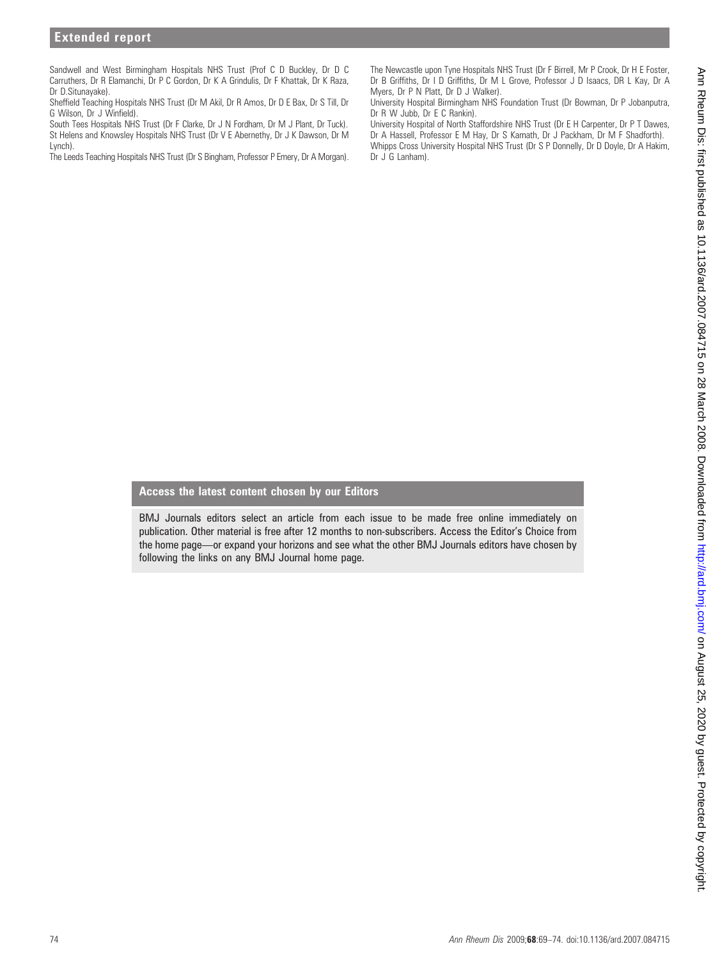Sandwell and West Birmingham Hospitals NHS Trust (Prof C D Buckley, Dr D C Carruthers, Dr R Elamanchi, Dr P C Gordon, Dr K A Grindulis, Dr F Khattak, Dr K Raza, Dr D.Situnayake).

Sheffield Teaching Hospitals NHS Trust (Dr M Akil, Dr R Amos, Dr D E Bax, Dr S Till, Dr G Wilson, Dr J Winfield).

South Tees Hospitals NHS Trust (Dr F Clarke, Dr J N Fordham, Dr M J Plant, Dr Tuck). St Helens and Knowsley Hospitals NHS Trust (Dr V E Abernethy, Dr J K Dawson, Dr M Lynch).

The Leeds Teaching Hospitals NHS Trust (Dr S Bingham, Professor P Emery, Dr A Morgan).

The Newcastle upon Tyne Hospitals NHS Trust (Dr F Birrell, Mr P Crook, Dr H E Foster, Dr B Griffiths, Dr I D Griffiths, Dr M L Grove, Professor J D Isaacs, DR L Kay, Dr A Myers, Dr P N Platt, Dr D J Walker).

University Hospital Birmingham NHS Foundation Trust (Dr Bowman, Dr P Jobanputra, Dr R W Jubb, Dr E C Rankin).

University Hospital of North Staffordshire NHS Trust (Dr E H Carpenter, Dr P T Dawes, Dr A Hassell, Professor E M Hay, Dr S Kamath, Dr J Packham, Dr M F Shadforth). Whipps Cross University Hospital NHS Trust (Dr S P Donnelly, Dr D Doyle, Dr A Hakim, Dr J G Lanham).

## Access the latest content chosen by our Editors

BMJ Journals editors select an article from each issue to be made free online immediately on publication. Other material is free after 12 months to non-subscribers. Access the Editor's Choice from the home page—or expand your horizons and see what the other BMJ Journals editors have chosen by following the links on any BMJ Journal home page.